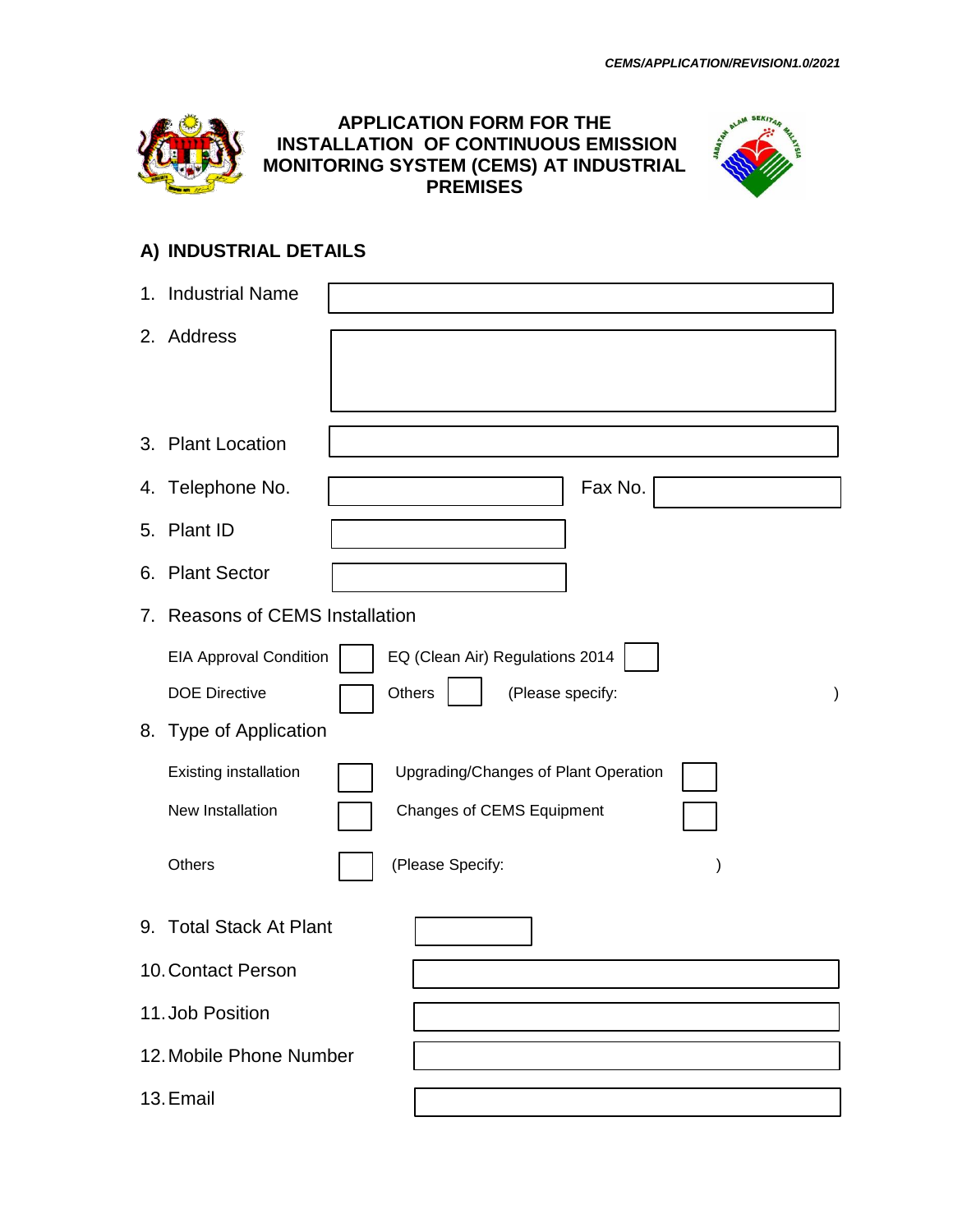

# **. APPLICATION FORM FOR THE INSTALLATION OF CONTINUOUS EMISSION MONITORING SYSTEM (CEMS) AT INDUSTRIAL PREMISES**



# **A) INDUSTRIAL DETAILS**

|    | 1. Industrial Name                  |                                             |
|----|-------------------------------------|---------------------------------------------|
|    | 2. Address                          |                                             |
|    |                                     |                                             |
|    |                                     |                                             |
|    | 3. Plant Location                   |                                             |
|    | 4. Telephone No.                    | Fax No.                                     |
|    | 5. Plant ID                         |                                             |
|    | 6. Plant Sector                     |                                             |
| 7. | <b>Reasons of CEMS Installation</b> |                                             |
|    | <b>EIA Approval Condition</b>       | EQ (Clean Air) Regulations 2014             |
|    | <b>DOE Directive</b>                | Others<br>(Please specify:<br>$\mathcal{E}$ |
|    | 8. Type of Application              |                                             |
|    | Existing installation               | Upgrading/Changes of Plant Operation        |
|    | New Installation                    | <b>Changes of CEMS Equipment</b>            |
|    | Others                              | (Please Specify:                            |
|    | 9. Total Stack At Plant             |                                             |
|    | 10. Contact Person                  |                                             |
|    | 11. Job Position                    |                                             |
|    | 12. Mobile Phone Number             |                                             |
|    | 13. Email                           |                                             |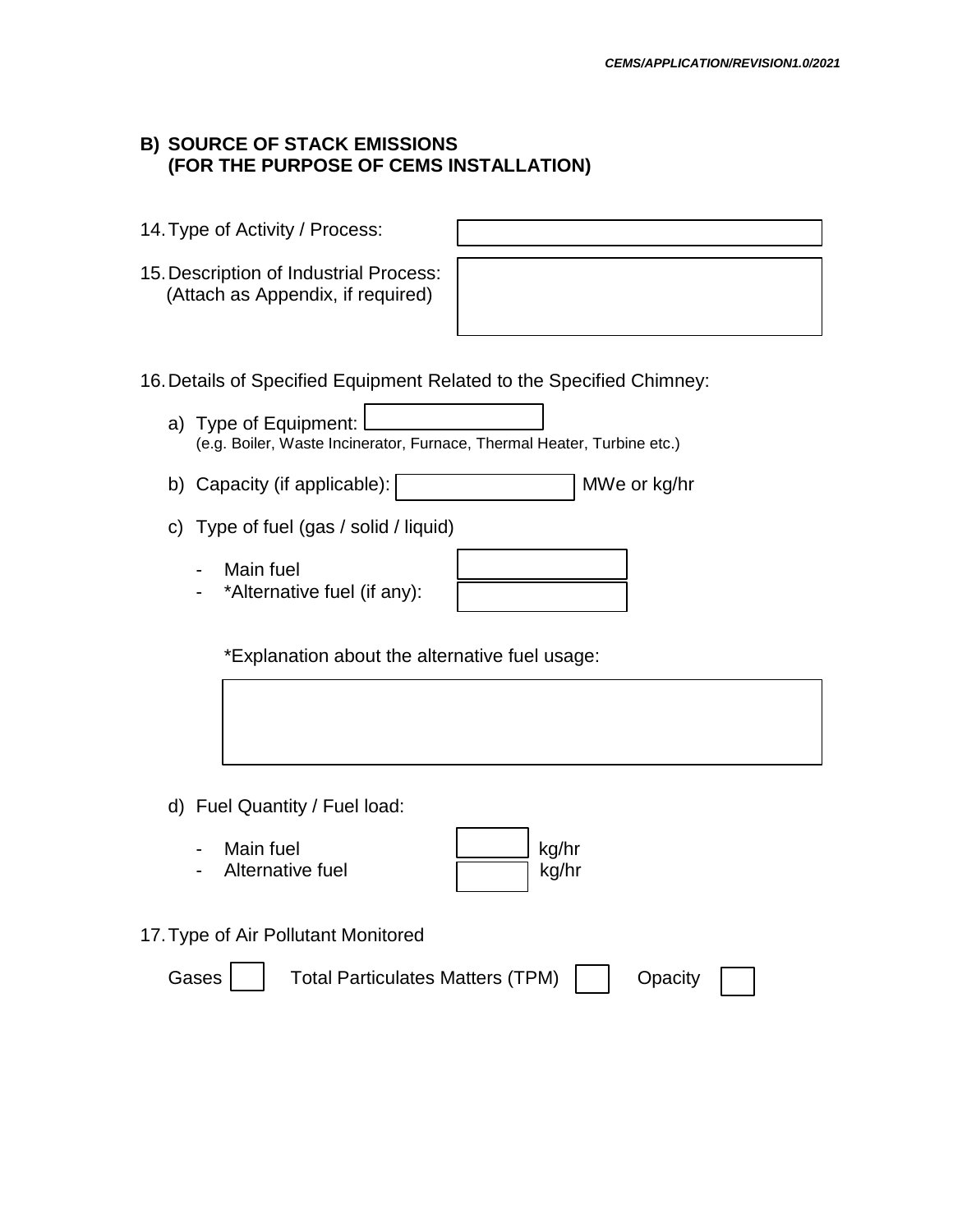# **B) SOURCE OF STACK EMISSIONS (FOR THE PURPOSE OF CEMS INSTALLATION)**

| 14. Type of Activity / Process:                                                               |                |
|-----------------------------------------------------------------------------------------------|----------------|
| 15. Description of Industrial Process:<br>(Attach as Appendix, if required)                   |                |
| 16. Details of Specified Equipment Related to the Specified Chimney:<br>a) Type of Equipment: |                |
| (e.g. Boiler, Waste Incinerator, Furnace, Thermal Heater, Turbine etc.)                       |                |
| b) Capacity (if applicable):                                                                  | MWe or kg/hr   |
| c) Type of fuel (gas / solid / liquid)                                                        |                |
| Main fuel<br>*Alternative fuel (if any):                                                      |                |
| *Explanation about the alternative fuel usage:                                                |                |
|                                                                                               |                |
| d) Fuel Quantity / Fuel load:                                                                 |                |
| Main fuel<br>Alternative fuel                                                                 | kg/hr<br>kg/hr |

17.Type of Air Pollutant Monitored

| Gases |  | <b>Total Particulates Matters (TPM)</b> |  | Opacity |
|-------|--|-----------------------------------------|--|---------|
|-------|--|-----------------------------------------|--|---------|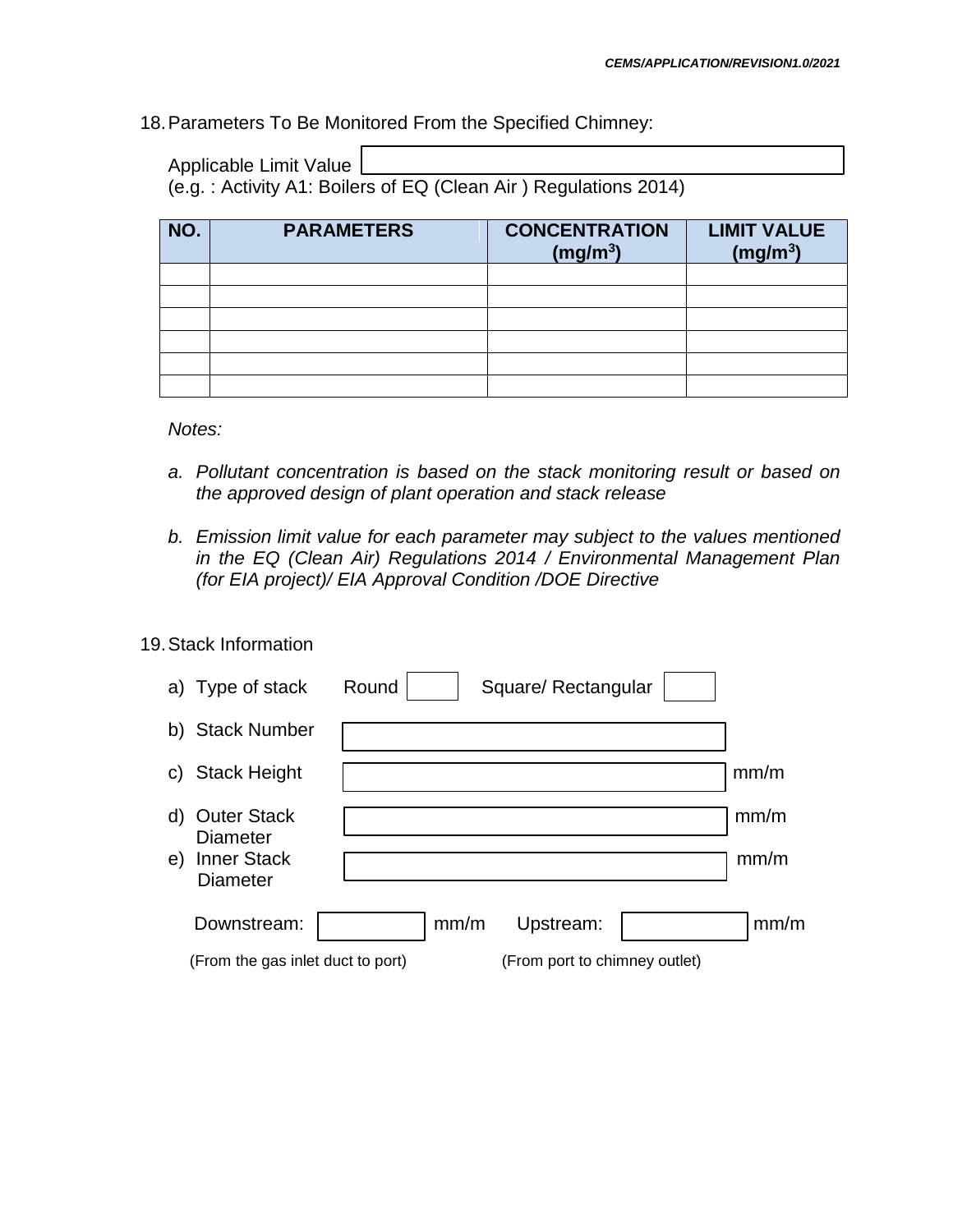### 18.Parameters To Be Monitored From the Specified Chimney:

Applicable Limit Value

(e.g. : Activity A1: Boilers of EQ (Clean Air ) Regulations 2014)

| NO. | <b>PARAMETERS</b> | <b>CONCENTRATION</b><br>(mg/m <sup>3</sup> ) | <b>LIMIT VALUE</b><br>(mg/m <sup>3</sup> ) |
|-----|-------------------|----------------------------------------------|--------------------------------------------|
|     |                   |                                              |                                            |
|     |                   |                                              |                                            |
|     |                   |                                              |                                            |
|     |                   |                                              |                                            |
|     |                   |                                              |                                            |
|     |                   |                                              |                                            |

*Notes:*

- *a. Pollutant concentration is based on the stack monitoring result or based on the approved design of plant operation and stack release*
- *b. Emission limit value for each parameter may subject to the values mentioned in the EQ (Clean Air) Regulations 2014 / Environmental Management Plan (for EIA project)/ EIA Approval Condition /DOE Directive*
- 19.Stack Information

| a) Type of stack                                                                           | Round | Square/ Rectangular           |              |
|--------------------------------------------------------------------------------------------|-------|-------------------------------|--------------|
| b) Stack Number                                                                            |       |                               |              |
| <b>Stack Height</b><br>C)                                                                  |       |                               | mm/m         |
| <b>Outer Stack</b><br>d)<br><b>Diameter</b><br><b>Inner Stack</b><br>e)<br><b>Diameter</b> |       |                               | mm/m<br>mm/m |
| Downstream:                                                                                | mm/m  | Upstream:                     | mm/m         |
| (From the gas inlet duct to port)                                                          |       | (From port to chimney outlet) |              |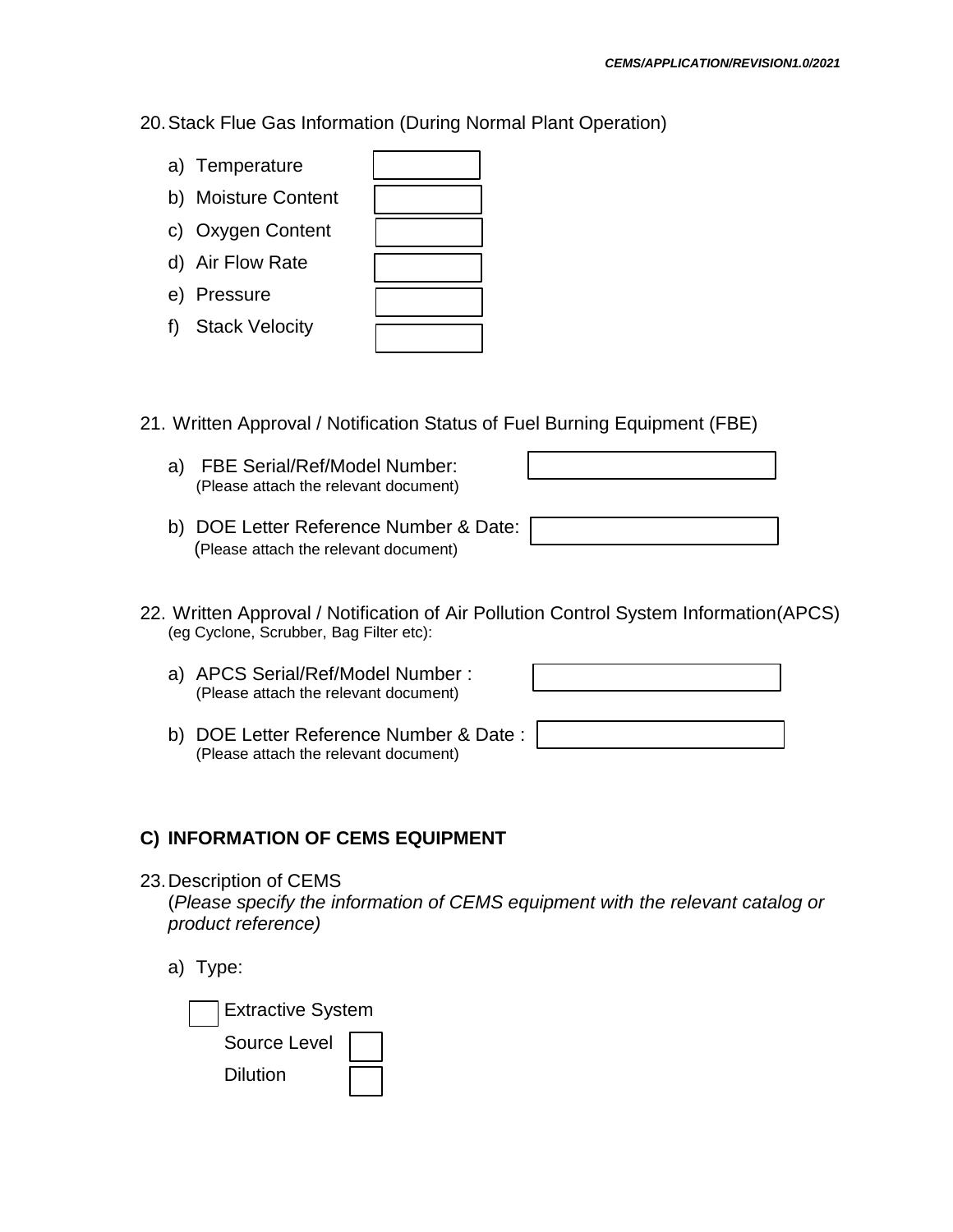- 20.Stack Flue Gas Information (During Normal Plant Operation)
	- a) Temperature
	- b) Moisture Conter
	- c) Oxygen Content
	- d) Air Flow Rate
	- e) Pressure
	- f) Stack Velocity

| nt |  |
|----|--|
| t  |  |
|    |  |
|    |  |
|    |  |

- 21. Written Approval / Notification Status of Fuel Burning Equipment (FBE)
	- a) FBE Serial/Ref/Model Number: (Please attach the relevant document)
	- b) DOE Letter Reference Number & Date: (Please attach the relevant document)
- 22. Written Approval / Notification of Air Pollution Control System Information(APCS) (eg Cyclone, Scrubber, Bag Filter etc):
	- a) APCS Serial/Ref/Model Number : (Please attach the relevant document)

b) DOE Letter Reference Number & Date : (Please attach the relevant document)

#### **C) INFORMATION OF CEMS EQUIPMENT**

- 23.Description of CEMS (*Please specify the information of CEMS equipment with the relevant catalog or product reference)*
	- a) Type:

| <b>Extractive System</b> |  |
|--------------------------|--|
| Source Level             |  |
| Dilution                 |  |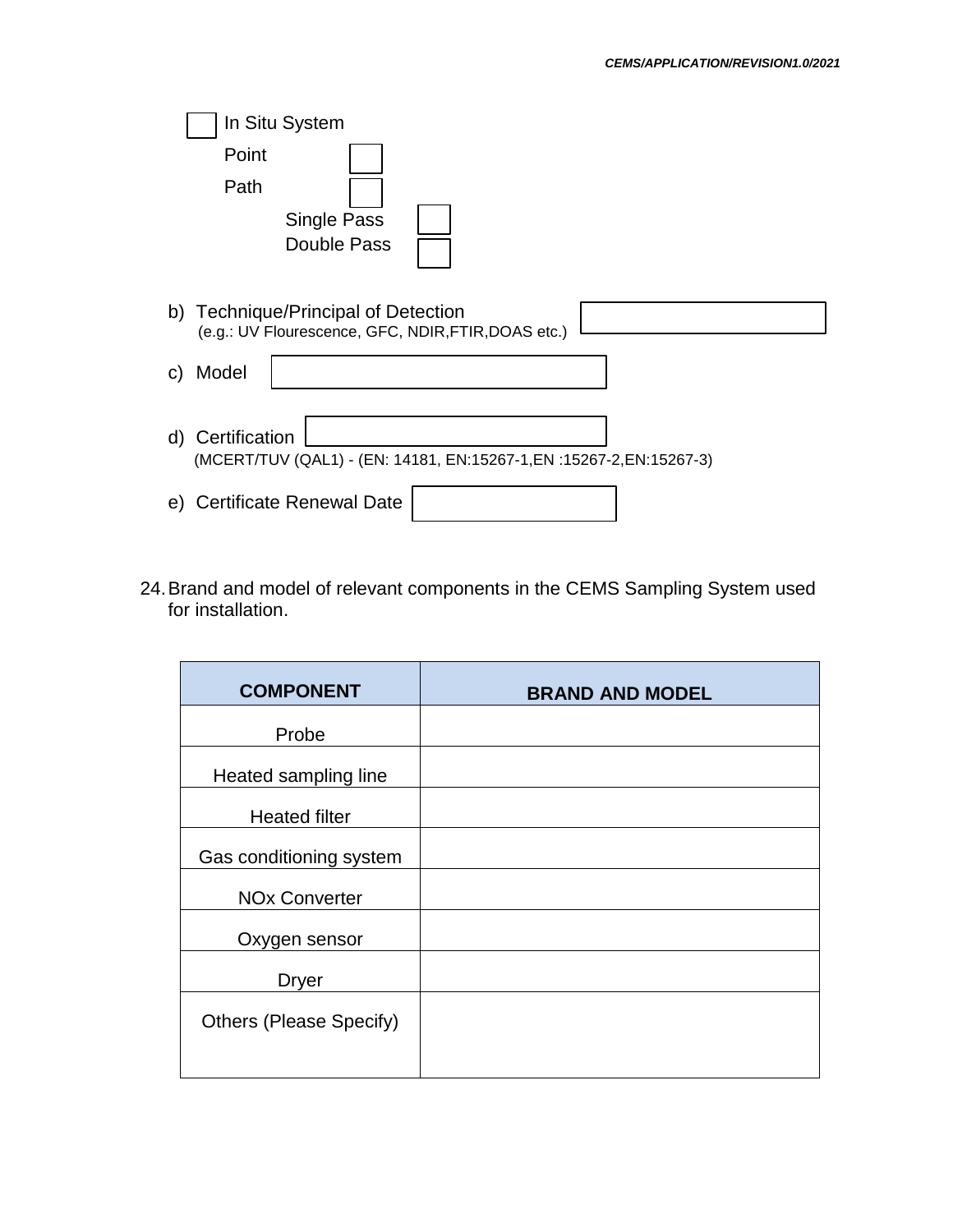|    |                  | In Situ System                                                                             |
|----|------------------|--------------------------------------------------------------------------------------------|
|    | Point            |                                                                                            |
|    | Path             |                                                                                            |
|    |                  | Single Pass                                                                                |
|    |                  | Double Pass                                                                                |
|    |                  | b) Technique/Principal of Detection<br>(e.g.: UV Flourescence, GFC, NDIR, FTIR, DOAS etc.) |
| C) | Model            |                                                                                            |
|    | d) Certification | (MCERT/TUV (QAL1) - (EN: 14181, EN:15267-1, EN:15267-2, EN:15267-3)                        |
| e) |                  | <b>Certificate Renewal Date</b>                                                            |

24.Brand and model of relevant components in the CEMS Sampling System used for installation.

| <b>COMPONENT</b>               | <b>BRAND AND MODEL</b> |
|--------------------------------|------------------------|
| Probe                          |                        |
| Heated sampling line           |                        |
| <b>Heated filter</b>           |                        |
| Gas conditioning system        |                        |
| <b>NOx Converter</b>           |                        |
| Oxygen sensor                  |                        |
| <b>Dryer</b>                   |                        |
| <b>Others (Please Specify)</b> |                        |
|                                |                        |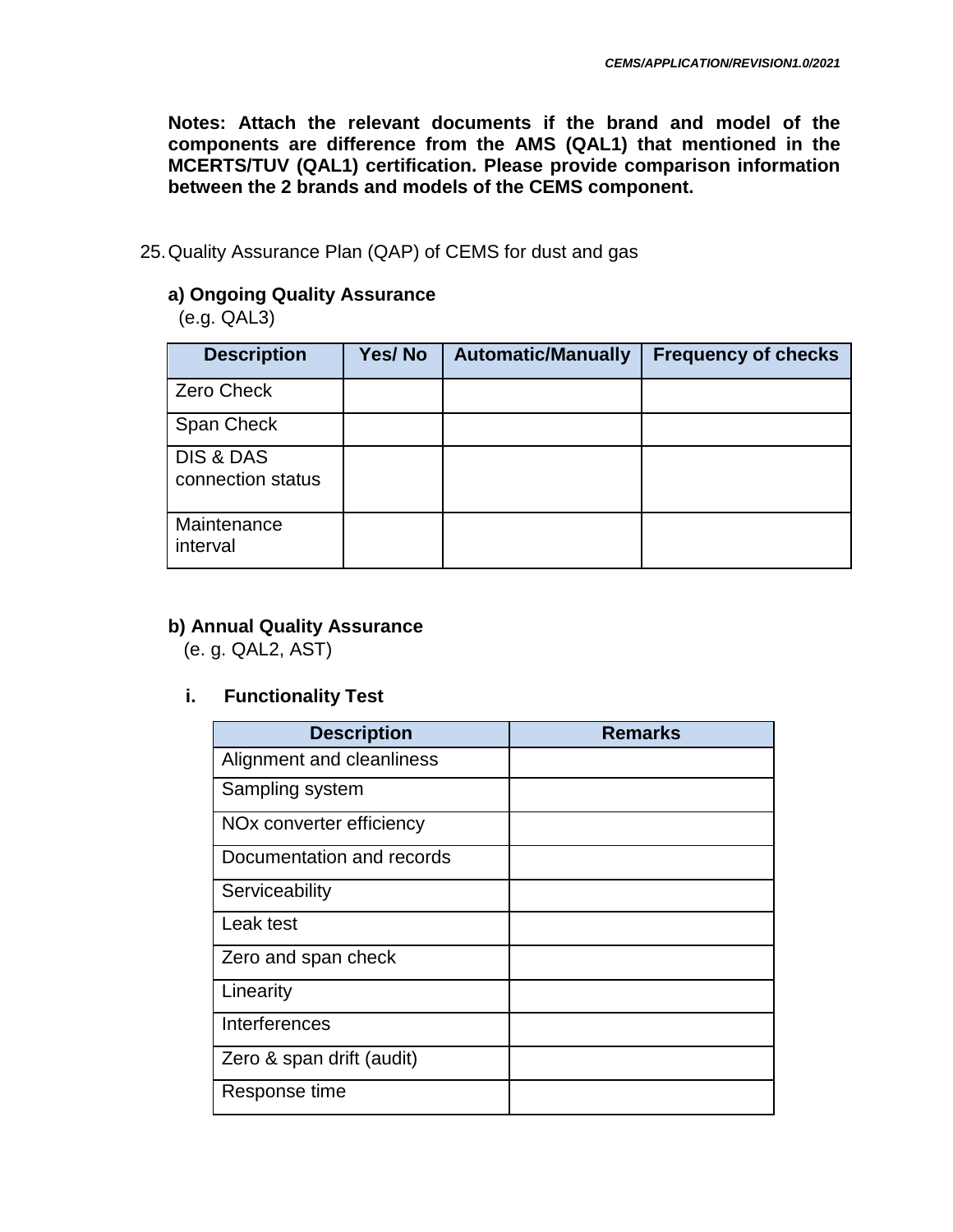**Notes: Attach the relevant documents if the brand and model of the components are difference from the AMS (QAL1) that mentioned in the MCERTS/TUV (QAL1) certification. Please provide comparison information between the 2 brands and models of the CEMS component.**

25.Quality Assurance Plan (QAP) of CEMS for dust and gas

# **a) Ongoing Quality Assurance**

(e.g. QAL3)

| <b>Description</b>             | Yes/No | <b>Automatic/Manually</b> | <b>Frequency of checks</b> |
|--------------------------------|--------|---------------------------|----------------------------|
| <b>Zero Check</b>              |        |                           |                            |
| Span Check                     |        |                           |                            |
| DIS & DAS<br>connection status |        |                           |                            |
| Maintenance<br>interval        |        |                           |                            |

# **b) Annual Quality Assurance**

(e. g. QAL2, AST)

### **i. Functionality Test**

| <b>Description</b>                   | <b>Remarks</b> |
|--------------------------------------|----------------|
| Alignment and cleanliness            |                |
| Sampling system                      |                |
| NO <sub>x</sub> converter efficiency |                |
| Documentation and records            |                |
| Serviceability                       |                |
| Leak test                            |                |
| Zero and span check                  |                |
| Linearity                            |                |
| Interferences                        |                |
| Zero & span drift (audit)            |                |
| Response time                        |                |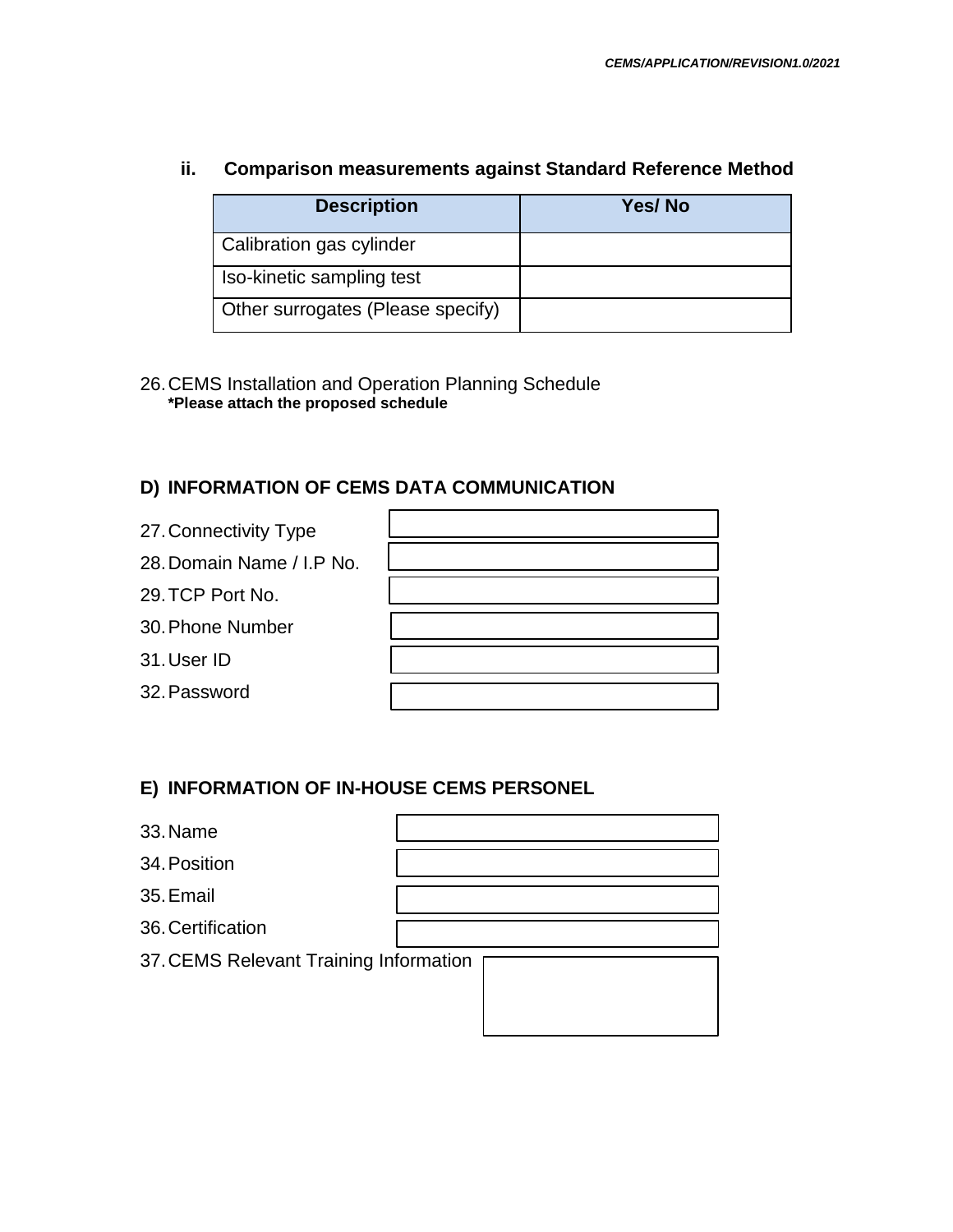#### **ii. Comparison measurements against Standard Reference Method**

| <b>Description</b>                | Yes/No |
|-----------------------------------|--------|
| Calibration gas cylinder          |        |
| Iso-kinetic sampling test         |        |
| Other surrogates (Please specify) |        |

26.CEMS Installation and Operation Planning Schedule **\*Please attach the proposed schedule**

#### **D) INFORMATION OF CEMS DATA COMMUNICATION**

- 27.Connectivity Type
- 28. Domain Name / I.P N
- 29.TCP Port No.
- 30.Phone Number
- 31.User ID
- 32.Password

| lo. |  |
|-----|--|
|     |  |
|     |  |
|     |  |
|     |  |
|     |  |
|     |  |

#### **E) INFORMATION OF IN-HOUSE CEMS PERSONEL**

| 33. Name                               |  |  |  |  |
|----------------------------------------|--|--|--|--|
| 34. Position                           |  |  |  |  |
| 35. Email                              |  |  |  |  |
| 36. Certification                      |  |  |  |  |
| 37. CEMS Relevant Training Information |  |  |  |  |
|                                        |  |  |  |  |
|                                        |  |  |  |  |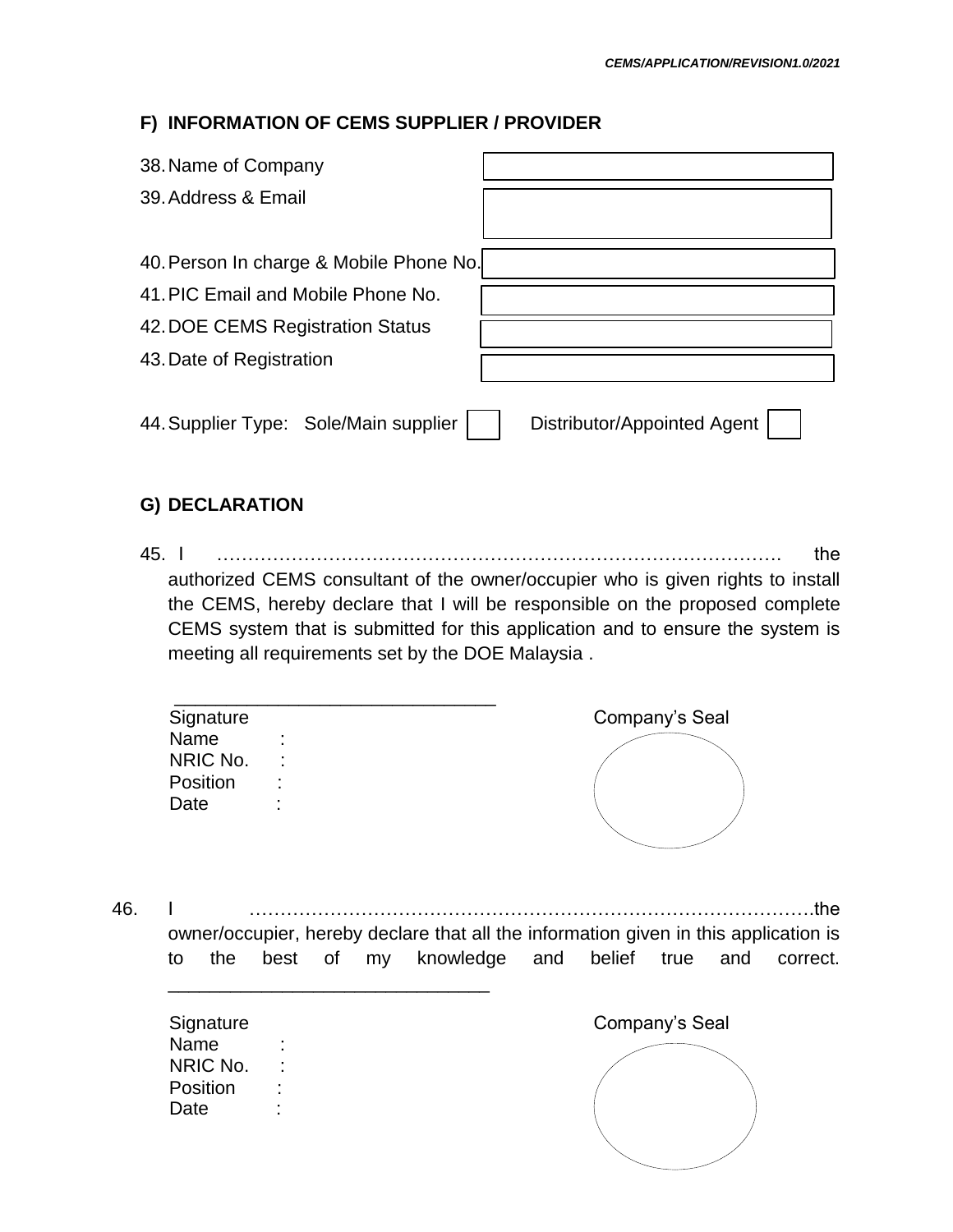### **F) INFORMATION OF CEMS SUPPLIER / PROVIDER**

| 38. Name of Company                     |                             |
|-----------------------------------------|-----------------------------|
| 39. Address & Email                     |                             |
|                                         |                             |
| 40. Person In charge & Mobile Phone No. |                             |
| 41. PIC Email and Mobile Phone No.      |                             |
| 42. DOE CEMS Registration Status        |                             |
| 43. Date of Registration                |                             |
|                                         |                             |
| 44. Supplier Type: Sole/Main supplier   | Distributor/Appointed Agent |

### **G) DECLARATION**

45. I ………………………………………………………………………………. the authorized CEMS consultant of the owner/occupier who is given rights to install the CEMS, hereby declare that I will be responsible on the proposed complete CEMS system that is submitted for this application and to ensure the system is meeting all requirements set by the DOE Malaysia .

| Signature |                        | Company's Seal |  |
|-----------|------------------------|----------------|--|
| Name      | ٠<br>$\blacksquare$    |                |  |
| NRIC No.  | ÷                      |                |  |
| Position  | $\bullet$<br>$\bullet$ |                |  |
| Date      | ٠<br>$\blacksquare$    |                |  |

46. I ……………………………………………………………………………….the owner/occupier, hereby declare that all the information given in this application is to the best of my knowledge and belief true and correct.

| Signature |                     |  |  | Company's Seal |
|-----------|---------------------|--|--|----------------|
| Name      | ٠<br>$\blacksquare$ |  |  |                |
| NRIC No.  | $\mathcal{L}$       |  |  |                |
| Position  | ٠                   |  |  |                |
| Date      | $\blacksquare$      |  |  |                |
|           |                     |  |  |                |
|           |                     |  |  |                |

\_\_\_\_\_\_\_\_\_\_\_\_\_\_\_\_\_\_\_\_\_\_\_\_\_\_\_\_\_\_\_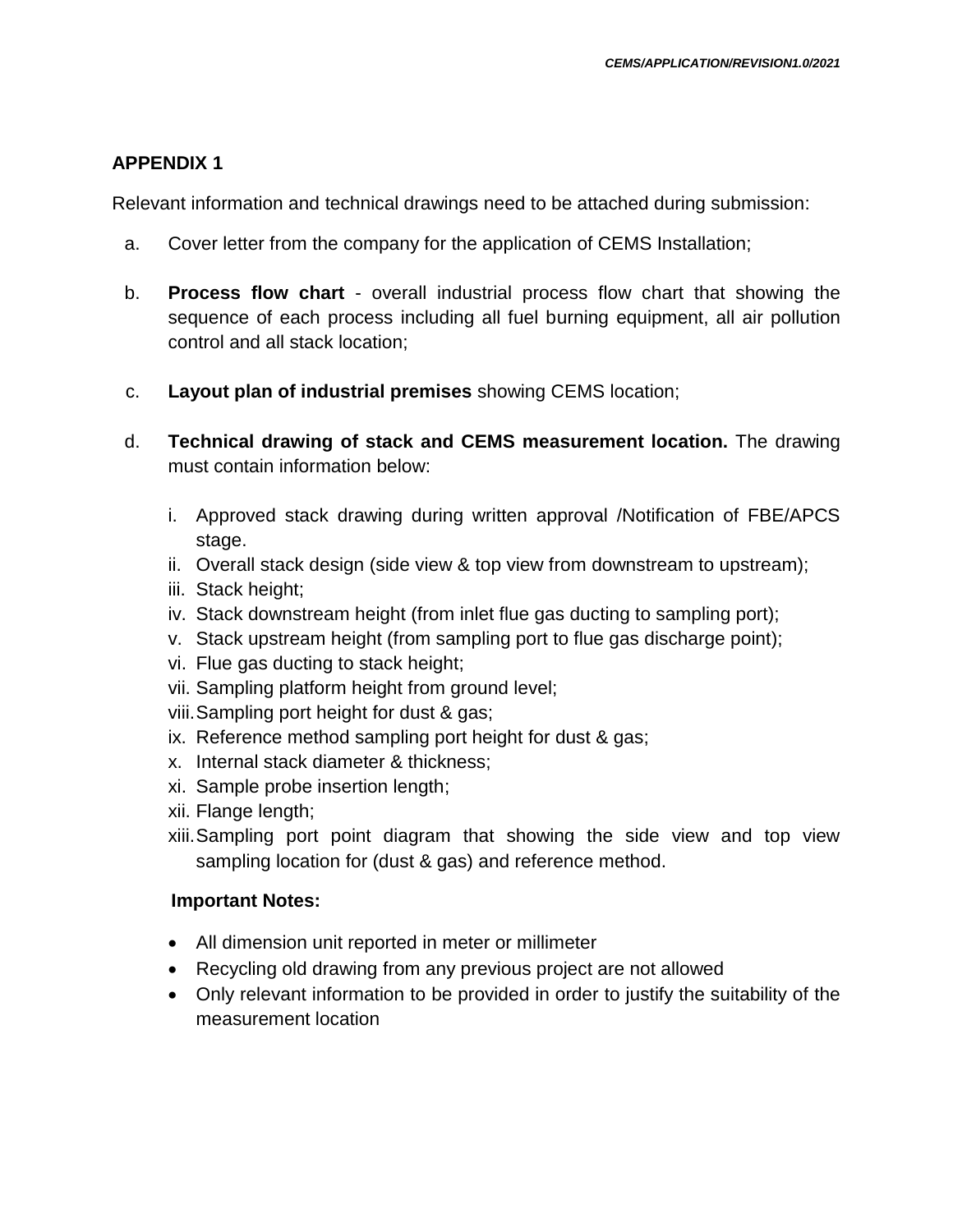### **APPENDIX 1**

Relevant information and technical drawings need to be attached during submission:

- a. Cover letter from the company for the application of CEMS Installation;
- b. **Process flow chart** overall industrial process flow chart that showing the sequence of each process including all fuel burning equipment, all air pollution control and all stack location;
- c. **Layout plan of industrial premises** showing CEMS location;
- d. **Technical drawing of stack and CEMS measurement location.** The drawing must contain information below:
	- i. Approved stack drawing during written approval /Notification of FBE/APCS stage.
	- ii. Overall stack design (side view & top view from downstream to upstream);
	- iii. Stack height;
	- iv. Stack downstream height (from inlet flue gas ducting to sampling port);
	- v. Stack upstream height (from sampling port to flue gas discharge point);
	- vi. Flue gas ducting to stack height;
	- vii. Sampling platform height from ground level;
	- viii.Sampling port height for dust & gas;
	- ix. Reference method sampling port height for dust & gas;
	- x. Internal stack diameter & thickness;
	- xi. Sample probe insertion length;
	- xii. Flange length;
	- xiii.Sampling port point diagram that showing the side view and top view sampling location for (dust & gas) and reference method.

#### **Important Notes:**

- All dimension unit reported in meter or millimeter
- Recycling old drawing from any previous project are not allowed
- Only relevant information to be provided in order to justify the suitability of the measurement location